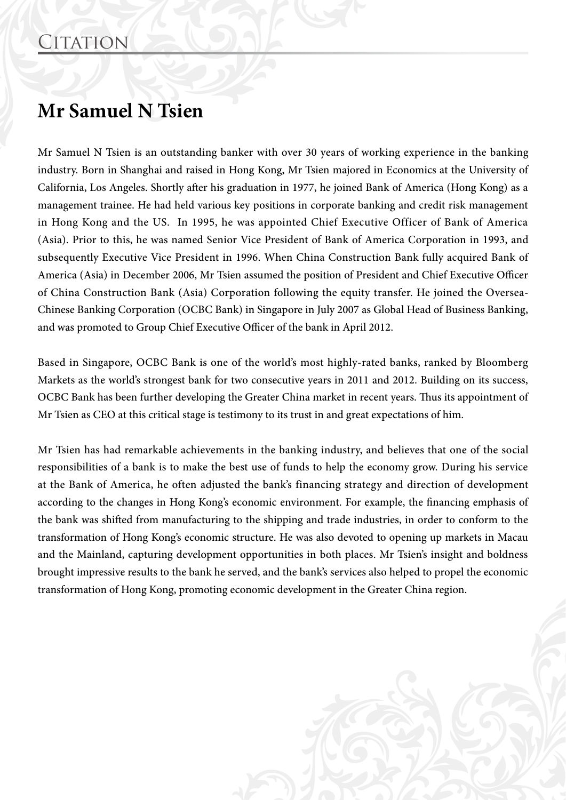## **Mr Samuel N Tsien**

Mr Samuel N Tsien is an outstanding banker with over 30 years of working experience in the banking industry. Born in Shanghai and raised in Hong Kong, Mr Tsien majored in Economics at the University of California, Los Angeles. Shortly after his graduation in 1977, he joined Bank of America (Hong Kong) as a management trainee. He had held various key positions in corporate banking and credit risk management in Hong Kong and the US. In 1995, he was appointed Chief Executive Officer of Bank of America (Asia). Prior to this, he was named Senior Vice President of Bank of America Corporation in 1993, and subsequently Executive Vice President in 1996. When China Construction Bank fully acquired Bank of America (Asia) in December 2006, Mr Tsien assumed the position of President and Chief Executive Officer of China Construction Bank (Asia) Corporation following the equity transfer. He joined the Oversea-Chinese Banking Corporation (OCBC Bank) in Singapore in July 2007 as Global Head of Business Banking, and was promoted to Group Chief Executive Officer of the bank in April 2012.

Based in Singapore, OCBC Bank is one of the world's most highly-rated banks, ranked by Bloomberg Markets as the world's strongest bank for two consecutive years in 2011 and 2012. Building on its success, OCBC Bank has been further developing the Greater China market in recent years. Thus its appointment of Mr Tsien as CEO at this critical stage is testimony to its trust in and great expectations of him.

Mr Tsien has had remarkable achievements in the banking industry, and believes that one of the social responsibilities of a bank is to make the best use of funds to help the economy grow. During his service at the Bank of America, he often adjusted the bank's financing strategy and direction of development according to the changes in Hong Kong's economic environment. For example, the financing emphasis of the bank was shifted from manufacturing to the shipping and trade industries, in order to conform to the transformation of Hong Kong's economic structure. He was also devoted to opening up markets in Macau and the Mainland, capturing development opportunities in both places. Mr Tsien's insight and boldness brought impressive results to the bank he served, and the bank's services also helped to propel the economic transformation of Hong Kong, promoting economic development in the Greater China region.